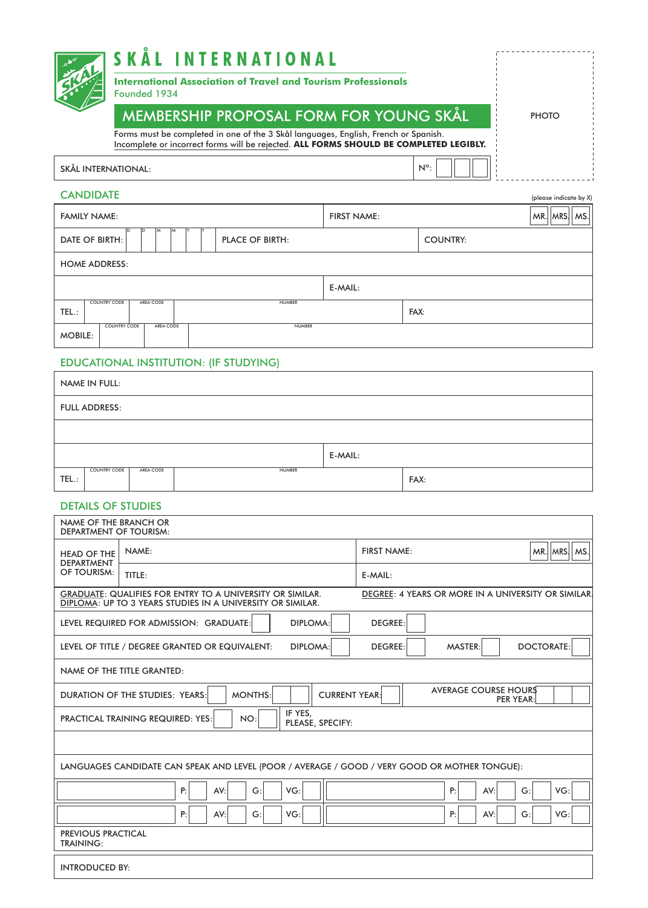|                     | SKÅL INTERNATIONAL                                                                                                                                                            |               |              |
|---------------------|-------------------------------------------------------------------------------------------------------------------------------------------------------------------------------|---------------|--------------|
|                     | <b>International Association of Travel and Tourism Professionals</b><br>Founded 1934                                                                                          |               |              |
|                     | <b>MEMBERSHIP PROPOSAL FORM FOR YOUNG SKÅL</b>                                                                                                                                |               | <b>PHOTO</b> |
|                     | Forms must be completed in one of the 3 Skål languages, English, French or Spanish.<br>Incomplete or incorrect forms will be rejected. ALL FORMS SHOULD BE COMPLETED LEGIBLY. |               |              |
| SKÅL INTERNATIONAL: |                                                                                                                                                                               | $N^{\circ}$ : |              |

| please indicate by X |  |
|----------------------|--|

| <b>CANDIDATE</b>                                                                     |                                                                     |  |  |  |      |                                          |  |  |  |  | (please indicate by X) |
|--------------------------------------------------------------------------------------|---------------------------------------------------------------------|--|--|--|------|------------------------------------------|--|--|--|--|------------------------|
| <b>FAMILY NAME:</b>                                                                  |                                                                     |  |  |  |      | $MR.$ $MRSI$ $MS.$<br><b>FIRST NAME:</b> |  |  |  |  |                        |
| ID<br>lм<br>ID<br>IM.<br>DATE OF BIRTH:<br><b>PLACE OF BIRTH:</b><br><b>COUNTRY:</b> |                                                                     |  |  |  |      |                                          |  |  |  |  |                        |
|                                                                                      | <b>HOME ADDRESS:</b>                                                |  |  |  |      |                                          |  |  |  |  |                        |
|                                                                                      | E-MAIL:                                                             |  |  |  |      |                                          |  |  |  |  |                        |
| TEL.:                                                                                | <b>COUNTRY CODE</b><br>AREA CODE<br><b>NUMBER</b>                   |  |  |  | FAX: |                                          |  |  |  |  |                        |
|                                                                                      | <b>COUNTRY CODE</b><br><b>NUMBER</b><br>AREA CODE<br><b>MOBILE:</b> |  |  |  |      |                                          |  |  |  |  |                        |

## EDUCATIONAL INSTITUTION: (IF STUDYING)

|         | <b>NAME IN FULL:</b> |           |               |  |      |  |
|---------|----------------------|-----------|---------------|--|------|--|
|         | <b>FULL ADDRESS:</b> |           |               |  |      |  |
|         |                      |           |               |  |      |  |
| E-MAIL: |                      |           |               |  |      |  |
| TEL.:   | <b>COUNTRY CODE</b>  | AREA CODE | <b>NUMBER</b> |  | FAX: |  |

## DETAILS OF STUDIES

| NAME OF THE BRANCH OR<br><b>DEPARTMENT OF TOURISM:</b>                                                                                                                                |        |                                         |  |  |  |  |  |  |
|---------------------------------------------------------------------------------------------------------------------------------------------------------------------------------------|--------|-----------------------------------------|--|--|--|--|--|--|
| <b>HEAD OF THE</b>                                                                                                                                                                    | NAME:  | $MR.$   MRS   MS.<br><b>FIRST NAME:</b> |  |  |  |  |  |  |
| <b>DEPARTMENT</b><br>OF TOURISM:                                                                                                                                                      | TITLE: | E-MAIL:                                 |  |  |  |  |  |  |
| <b>GRADUATE: QUALIFIES FOR ENTRY TO A UNIVERSITY OR SIMILAR.</b><br>DEGREE: 4 YEARS OR MORE IN A UNIVERSITY OR SIMILAR.<br>DIPLOMA: UP TO 3 YEARS STUDIES IN A UNIVERSITY OR SIMILAR. |        |                                         |  |  |  |  |  |  |
| <b>DIPLOMA:</b><br><b>DEGREE:</b><br>LEVEL REQUIRED FOR ADMISSION: GRADUATE:                                                                                                          |        |                                         |  |  |  |  |  |  |
| <b>DOCTORATE:</b><br><b>DEGREE:</b><br><b>MASTER:</b><br>LEVEL OF TITLE / DEGREE GRANTED OR EQUIVALENT:<br><b>DIPLOMA:</b>                                                            |        |                                         |  |  |  |  |  |  |
| <b>NAME OF THE TITLE GRANTED:</b>                                                                                                                                                     |        |                                         |  |  |  |  |  |  |
| <b>AVERAGE COURSE HOURS</b><br><b>MONTHS:</b><br><b>CURRENT YEAR:</b><br>DURATION OF THE STUDIES: YEARS:<br><b>PER YEAR:</b>                                                          |        |                                         |  |  |  |  |  |  |
| IF YES.<br><b>PRACTICAL TRAINING REQUIRED: YES:</b><br>NO:<br>PLEASE, SPECIFY:                                                                                                        |        |                                         |  |  |  |  |  |  |
|                                                                                                                                                                                       |        |                                         |  |  |  |  |  |  |
| LANGUAGES CANDIDATE CAN SPEAK AND LEVEL (POOR / AVERAGE / GOOD / VERY GOOD OR MOTHER TONGUE):                                                                                         |        |                                         |  |  |  |  |  |  |
| VG:<br>G:<br>P:<br>VG:<br>P:<br>AV:<br>AV:<br>G:                                                                                                                                      |        |                                         |  |  |  |  |  |  |
| VG:<br>VG:<br>P:<br>AV:<br>G:<br>P:<br>AV:<br>G:                                                                                                                                      |        |                                         |  |  |  |  |  |  |
| <b>PREVIOUS PRACTICAL</b><br><b>TRAINING:</b>                                                                                                                                         |        |                                         |  |  |  |  |  |  |
| <b>INTRODUCED BY:</b>                                                                                                                                                                 |        |                                         |  |  |  |  |  |  |